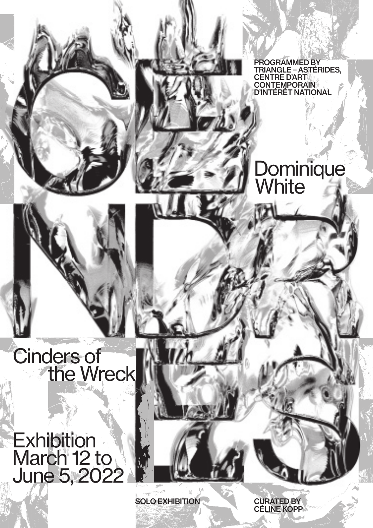PROGRAMMED BY TRIANGLE – ASTÉRIDES, CENTRE D'ART **CONTEMPORAIN** D'INTÉRÊT NATIONAL

### **Dominique White**

### Cinders of the Wreck

**Exhibition** March 12 to June 5, 2022

SOLO EXHIBITION

CURATED BY CÉLINE KOPP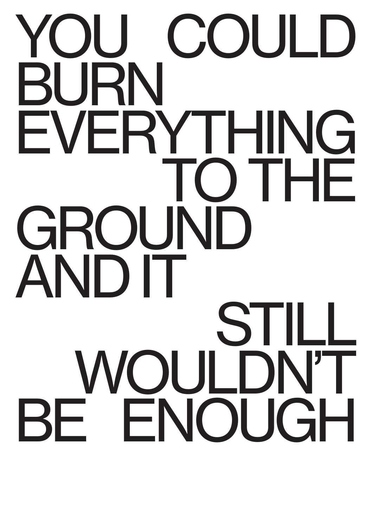# YOU COULD BURN EVERYTHING TO THE GROUND AND IT STILL WOULDN'T BE ENOUGH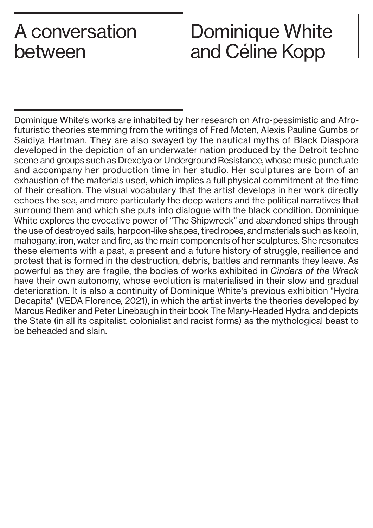## A conversation Dominique White between and Céline Kopp

Dominique White's works are inhabited by her research on Afro-pessimistic and Afrofuturistic theories stemming from the writings of Fred Moten, Alexis Pauline Gumbs or Saidiya Hartman. They are also swayed by the nautical myths of Black Diaspora developed in the depiction of an underwater nation produced by the Detroit techno scene and groups such as Drexciya or Underground Resistance, whose music punctuate and accompany her production time in her studio. Her sculptures are born of an exhaustion of the materials used, which implies a full physical commitment at the time of their creation. The visual vocabulary that the artist develops in her work directly echoes the sea, and more particularly the deep waters and the political narratives that surround them and which she puts into dialogue with the black condition. Dominique White explores the evocative power of "The Shipwreck" and abandoned ships through the use of destroyed sails, harpoon-like shapes, tired ropes, and materials such as kaolin, mahogany, iron, water and fire, as the main components of her sculptures. She resonates these elements with a past, a present and a future history of struggle, resilience and protest that is formed in the destruction, debris, battles and remnants they leave. As powerful as they are fragile, the bodies of works exhibited in *Cinders of the Wreck* have their own autonomy, whose evolution is materialised in their slow and gradual deterioration. It is also a continuity of Dominique White's previous exhibition "Hydra Decapita" (VEDA Florence, 2021), in which the artist inverts the theories developed by Marcus Rediker and Peter Linebaugh in their book The Many-Headed Hydra, and depicts the State (in all its capitalist, colonialist and racist forms) as the mythological beast to be beheaded and slain.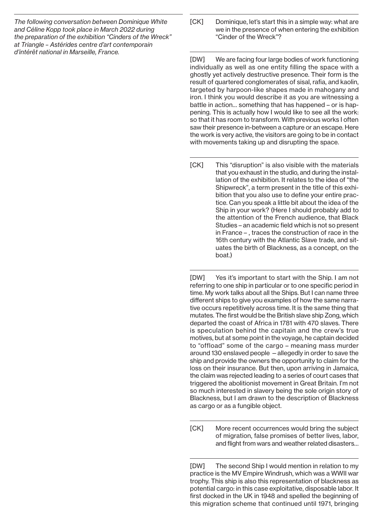*The following conversation between Dominique White and Céline Kopp took place in March 2022 during the preparation of the exhibition "Cinders of the Wreck" at Triangle – Astérides centre d'art contemporain d'intérêt national in Marseille, France.*

[CK] Dominique, let's start this in a simple way: what are we in the presence of when entering the exhibition "Cinder of the Wreck"?

[DW] We are facing four large bodies of work functioning individually as well as one entity filling the space with a ghostly yet actively destructive presence. Their form is the result of quartered conglomerates of sisal, rafia, and kaolin, targeted by harpoon-like shapes made in mahogany and iron. I think you would describe it as you are witnessing a battle in action… something that has happened – or is happening. This is actually how I would like to see all the work: so that it has room to transform. With previous works I often saw their presence in-between a capture or an escape. Here the work is very active, the visitors are going to be in contact with movements taking up and disrupting the space.

[CK] This "disruption" is also visible with the materials that you exhaust in the studio, and during the installation of the exhibition. It relates to the idea of "the Shipwreck", a term present in the title of this exhibition that you also use to define your entire practice. Can you speak a little bit about the idea of the Ship in your work? (Here I should probably add to the attention of the French audience, that Black Studies – an academic field which is not so present in France – , traces the construction of race in the 16th century with the Atlantic Slave trade, and situates the birth of Blackness, as a concept, on the boat.)

[DW] Yes it's important to start with the Ship. I am not referring to one ship in particular or to one specific period in time. My work talks about all the Ships. But I can name three different ships to give you examples of how the same narrative occurs repetitively across time. It is the same thing that mutates. The first would be the British slave ship Zong, which departed the coast of Africa in 1781 with 470 slaves. There is speculation behind the capitain and the crew's true motives, but at some point in the voyage, he captain decided to "offload" some of the cargo – meaning mass murder around 130 enslaved people —allegedly in order to save the ship and provide the owners the opportunity to claim for the loss on their insurance. But then, upon arriving in Jamaica, the claim was rejected leading to a series of court cases that triggered the abolitionist movement in Great Britain. I'm not so much interested in slavery being the sole origin story of Blackness, but I am drawn to the description of Blackness as cargo or as a fungible object.

[CK] More recent occurrences would bring the subject of migration, false promises of better lives, labor, and flight from wars and weather related disasters…

[DW] The second Ship I would mention in relation to my practice is the MV Empire Windrush, which was a WWII war trophy. This ship is also this representation of blackness as potential cargo: in this case exploitative, disposable labor. It first docked in the UK in 1948 and spelled the beginning of this migration scheme that continued until 1971, bringing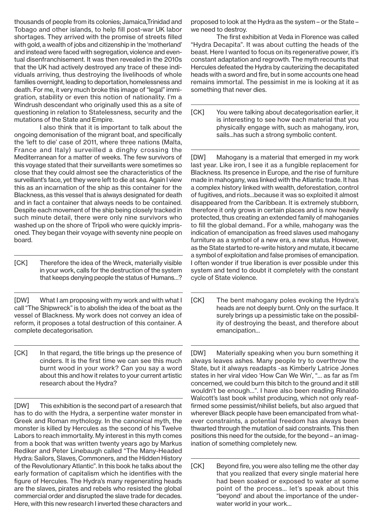thousands of people from its colonies; Jamaica,Trinidad and Tobago and other islands, to help fill post-war UK labor shortages. They arrived with the promise of streets filled with gold, a wealth of jobs and citizenship in the 'motherland' and instead were faced with segregation, violence and eventual disenfranchisement. It was then revealed in the 2010s that the UK had actively destroyed any trace of these individuals arriving, thus destroying the livelihoods of whole families overnight, leading to deportation, homelessness and death. For me, it very much broke this image of "legal" immigration, stability or even this notion of nationality. I'm a Windrush descendant who originally used this as a site of questioning in relation to Statelessness, security and the mutations of the State and Empire.

I also think that it is important to talk about the ongoing demonisation of the migrant boat, and specifically the 'left to die' case of 2011, where three nations (Malta, France and Italy) surveilled a dinghy crossing the Mediterranean for a matter of weeks. The few survivors of this voyage stated that their surveillants were sometimes so close that they could almost see the characteristics of the surveillant's face, yet they were left to die at sea. Again I view this as an incarnation of the ship as this container for the Blackness, as this vessel that is always designated for death and in fact a container that always needs to be contained. Despite each movement of the ship being closely tracked in such minute detail, there were only nine survivors who washed up on the shore of Tripoli who were quickly imprisoned. They began their voyage with seventy nine people on board.

[CK] Therefore the idea of the Wreck, materially visible in your work, calls for the destruction of the system that keeps denying people the status of Humans…?

[DW] What I am proposing with my work and with what I call "The Shipwreck" is to abolish the idea of the boat as the vessel of Blackness. My work does not convey an idea of reform, it proposes a total destruction of this container. A complete decategorisation.

[CK] In that regard, the title brings up the presence of cinders. It is the first time we can see this much burnt wood in your work? Can you say a word about this and how it relates to your current artistic research about the Hydra?

[DW] This exhibition is the second part of a research that has to do with the Hydra, a serpentine water monster in Greek and Roman mythology. In the canonical myth, the monster is killed by Hercules as the second of his Twelve Labors to reach immortality. My interest in this myth comes from a book that was written twenty years ago by Markus Rediker and Peter Linebaugh called "The Many-Headed Hydra: Sailors, Slaves, Commoners, and the Hidden History of the Revolutionary Atlantic". In this book he talks about the early formation of capitalism which he identifies with the figure of Hercules. The Hydra's many regenerating heads are the slaves, pirates and rebels who resisted the global commercial order and disrupted the slave trade for decades. Here, with this new research I inverted these characters and

proposed to look at the Hydra as the system – or the State – we need to destroy.

The first exhibition at Veda in Florence was called "Hydra Decapita". It was about cutting the heads of the beast. Here I wanted to focus on its regenerative power, it's constant adaptation and regrowth. The myth recounts that Hercules defeated the Hydra by cauterizing the decapitated heads with a sword and fire, but in some accounts one head remains immortal. The pessimist in me is looking at it as something that never dies.

[CK] You were talking about decategorisation earlier, it is interesting to see how each material that you physically engage with, such as mahogany, iron, sails...has such a strong symbolic content.

[DW] Mahogany is a material that emerged in my work last year. Like iron, I see it as a fungible replacement for Blackness. Its presence in Europe, and the rise of furniture made in mahogany, was linked with the Atlantic trade. It has a complex history linked with wealth, deforestation, control of fugitives, and riots…because it was so exploited it almost disappeared from the Caribbean. It is extremely stubborn, therefore it only grows in certain places and is now heavily protected, thus creating an extended family of mahoganies to fill the global demand.. For a while, mahogany was the indication of emancipation as freed slaves used mahogany furniture as a symbol of a new era, a new status. However, as the State started to re-write history and mutate, it became a symbol of exploitation and false promises of emancipation. I often wonder if true liberation is ever possible under this system and tend to doubt it completely with the constant cycle of State violence.

[CK] The bent mahogany poles evoking the Hydra's heads are not deeply burnt. Only on the surface. It surely brings up a pessimistic take on the possibility of destroying the beast, and therefore about emancipation…

[DW] Materially speaking when you burn something it always leaves ashes. Many people try to overthrow the State, but it always readapts -as Kimberly Latrice Jones states in her viral video 'How Can We Win', "… as far as I'm concerned, we could burn this bitch to the ground and it still wouldn't be enough…". I have also been reading Rinaldo Walcott's last book whilst producing, which not only reaffirmed some pessimist/nihilist beliefs, but also argued that wherever Black people have been emancipated from whatever constraints, a potential freedom has always been thwarted through the mutation of said constraints. This then positions this need for the outside, for the beyond – an imagination of something completely new.

[CK] Beyond fire, you were also telling me the other day that you realized that every single material here had been soaked or exposed to water at some point of the process… let's speak about this "beyond' and about the importance of the underwater world in your work…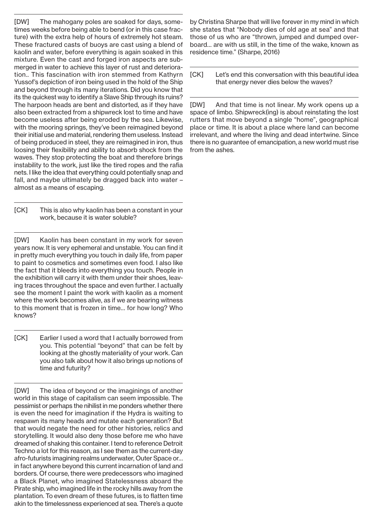[DW] The mahogany poles are soaked for days, sometimes weeks before being able to bend (or in this case fracture) with the extra help of hours of extremely hot steam. These fractured casts of buoys are cast using a blend of kaolin and water, before everything is again soaked in this mixture. Even the cast and forged iron aspects are submerged in water to achieve this layer of rust and deterioration.. This fascination with iron stemmed from Kathyrn Yussof's depiction of iron being used in the hold of the Ship and beyond through its many iterations. Did you know that its the quickest way to identify a Slave Ship through its ruins? The harpoon heads are bent and distorted, as if they have also been extracted from a shipwreck lost to time and have become useless after being eroded by the sea. Likewise, with the mooring springs, they've been reimagined beyond their initial use and material, rendering them useless. Instead of being produced in steel, they are reimagined in iron, thus loosing their flexibility and ability to absorb shock from the waves. They stop protecting the boat and therefore brings instability to the work, just like the tired ropes and the rafia nets. I like the idea that everything could potentially snap and fall, and maybe ultimately be dragged back into water – almost as a means of escaping.

[CK] This is also why kaolin has been a constant in your work, because it is water soluble?

[DW] Kaolin has been constant in my work for seven years now. It is very ephemeral and unstable. You can find it in pretty much everything you touch in daily life, from paper to paint to cosmetics and sometimes even food. I also like the fact that it bleeds into everything you touch. People in the exhibition will carry it with them under their shoes, leaving traces throughout the space and even further. I actually see the moment I paint the work with kaolin as a moment where the work becomes alive, as if we are bearing witness to this moment that is frozen in time… for how long? Who knows?

[CK] Earlier I used a word that I actually borrowed from you. This potential "beyond" that can be felt by looking at the ghostly materiality of your work. Can you also talk about how it also brings up notions of time and futurity?

[DW] The idea of beyond or the imaginings of another world in this stage of capitalism can seem impossible. The pessimist or perhaps the nihilist in me ponders whether there is even the need for imagination if the Hydra is waiting to respawn its many heads and mutate each generation? But that would negate the need for other histories, relics and storytelling. It would also deny those before me who have dreamed of shaking this container. I tend to reference Detroit Techno a lot for this reason, as I see them as the current-day afro-futurists imagining realms underwater, Outer Space or… in fact anywhere beyond this current incarnation of land and borders. Of course, there were predecessors who imagined a Black Planet, who imagined Statelessness aboard the Pirate ship, who imagined life in the rocky hills away from the plantation. To even dream of these futures, is to flatten time akin to the timelessness experienced at sea. There's a quote

by Christina Sharpe that will live forever in my mind in which she states that "Nobody dies of old age at sea" and that those of us who are "thrown, jumped and dumped overboard… are with us still, in the time of the wake, known as residence time." (Sharpe, 2016)

[CK] Let's end this conversation with this beautiful idea that energy never dies below the waves?

[DW] And that time is not linear. My work opens up a space of limbo. Shipwreck(ing) is about reinstating the lost rutters that move beyond a single "home", geographical place or time. It is about a place where land can become irrelevant, and where the living and dead intertwine. Since there is no guarantee of emancipation, a new world must rise from the ashes.